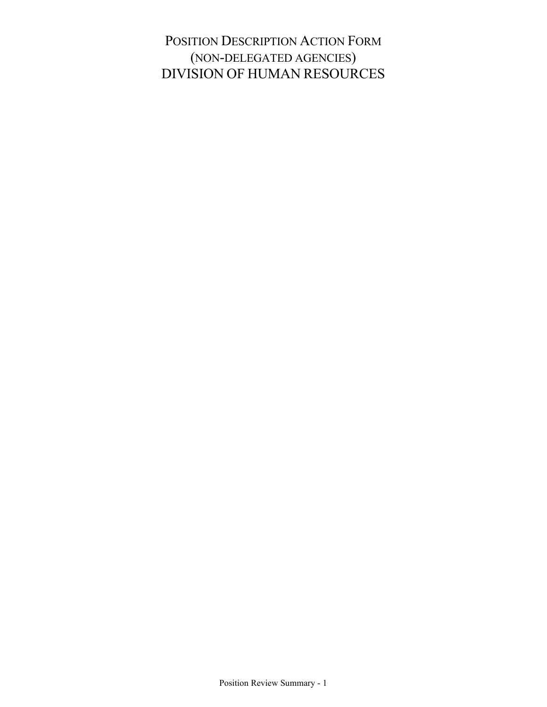POSITION DESCRIPTION ACTION FORM (NON-DELEGATED AGENCIES) DIVISION OF HUMAN RESOURCES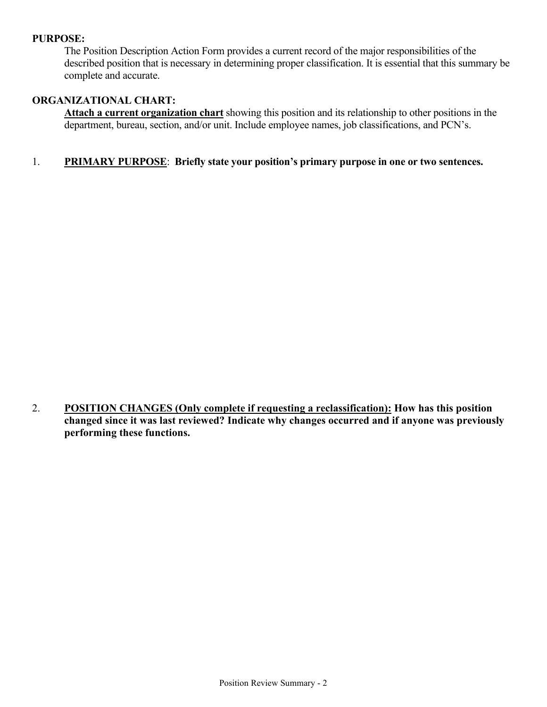## **PURPOSE:**

The Position Description Action Form provides a current record of the major responsibilities of the described position that is necessary in determining proper classification. It is essential that this summary be complete and accurate.

## **ORGANIZATIONAL CHART:**

**Attach a current organization chart** showing this position and its relationship to other positions in the department, bureau, section, and/or unit. Include employee names, job classifications, and PCN's.

## 1. **PRIMARY PURPOSE**: **Briefly state your position's primary purpose in one or two sentences.**

2. **POSITION CHANGES (Only complete if requesting a reclassification): How has this position changed since it was last reviewed? Indicate why changes occurred and if anyone was previously performing these functions.**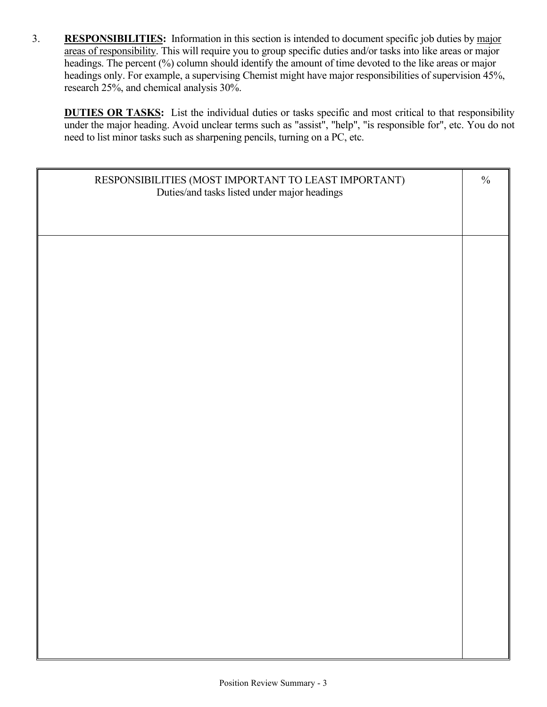3. **RESPONSIBILITIES:** Information in this section is intended to document specific job duties by major areas of responsibility. This will require you to group specific duties and/or tasks into like areas or major headings. The percent (%) column should identify the amount of time devoted to the like areas or major headings only. For example, a supervising Chemist might have major responsibilities of supervision 45%, research 25%, and chemical analysis 30%.

**DUTIES OR TASKS:** List the individual duties or tasks specific and most critical to that responsibility under the major heading. Avoid unclear terms such as "assist", "help", "is responsible for", etc. You do not need to list minor tasks such as sharpening pencils, turning on a PC, etc.

| RESPONSIBILITIES (MOST IMPORTANT TO LEAST IMPORTANT)<br>Duties/and tasks listed under major headings | $\frac{0}{0}$ |
|------------------------------------------------------------------------------------------------------|---------------|
|                                                                                                      |               |
|                                                                                                      |               |
|                                                                                                      |               |
|                                                                                                      |               |
|                                                                                                      |               |
|                                                                                                      |               |
|                                                                                                      |               |
|                                                                                                      |               |
|                                                                                                      |               |
|                                                                                                      |               |
|                                                                                                      |               |
|                                                                                                      |               |
|                                                                                                      |               |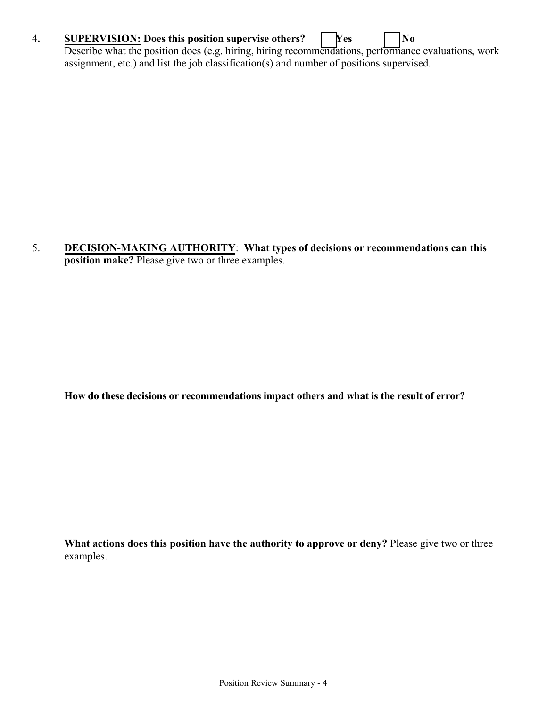## 4**. SUPERVISION: Does this position supervise others? [ ] Yes [ ] No**

Describe what the position does (e.g. hiring, hiring recommendations, performance evaluations, work assignment, etc.) and list the job classification(s) and number of positions supervised.

5. **DECISION-MAKING AUTHORITY**: **What types of decisions or recommendations can this position make?** Please give two or three examples.

**How do these decisions or recommendations impact others and what is the result of error?**

**What actions does this position have the authority to approve or deny?** Please give two or three examples.